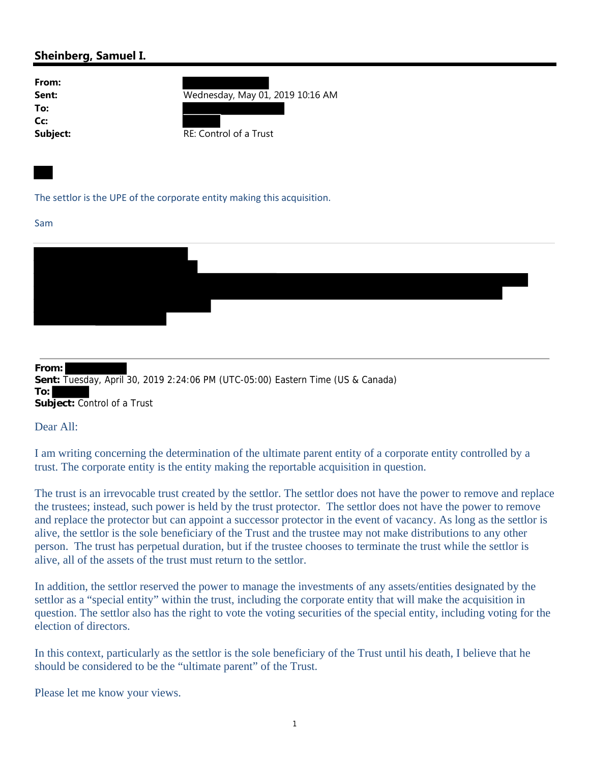## **Sheinberg, Samuel I.**

| From:    |                                  |
|----------|----------------------------------|
| Sent:    | Wednesday, May 01, 2019 10:16 AM |
| To:      |                                  |
| Cc:      |                                  |
| Subject: | RE: Control of a Trust           |

The settlor is the UPE of the corporate entity making this acquisition.

## Sam



**From: Sent:** Tuesday, April 30, 2019 2:24:06 PM (UTC-05:00) Eastern Time (US & Canada) **To: Subject:** Control of a Trust

Dear All:

I am writing concerning the determination of the ultimate parent entity of a corporate entity controlled by a trust. The corporate entity is the entity making the reportable acquisition in question.

The trust is an irrevocable trust created by the settlor. The settlor does not have the power to remove and replace the trustees; instead, such power is held by the trust protector. The settlor does not have the power to remove and replace the protector but can appoint a successor protector in the event of vacancy. As long as the settlor is alive, the settlor is the sole beneficiary of the Trust and the trustee may not make distributions to any other person. The trust has perpetual duration, but if the trustee chooses to terminate the trust while the settlor is alive, all of the assets of the trust must return to the settlor.

In addition, the settlor reserved the power to manage the investments of any assets/entities designated by the settlor as a "special entity" within the trust, including the corporate entity that will make the acquisition in question. The settlor also has the right to vote the voting securities of the special entity, including voting for the election of directors.

In this context, particularly as the settlor is the sole beneficiary of the Trust until his death, I believe that he should be considered to be the "ultimate parent" of the Trust.

Please let me know your views.